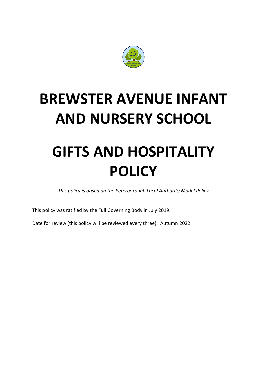

# **BREWSTER AVENUE INFANT AND NURSERY SCHOOL**

# **GIFTS AND HOSPITALITY POLICY**

*This policy is based on the Peterborough Local Authority Model Policy*

This policy was ratified by the Full Governing Body in July 2019.

Date for review (this policy will be reviewed every three): Autumn 2022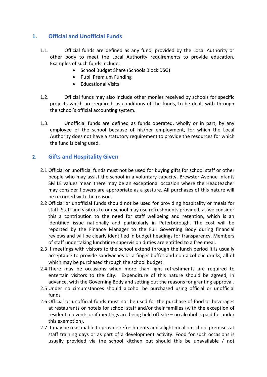### **1. Official and Unofficial Funds**

- 1.1. Official funds are defined as any fund, provided by the Local Authority or other body to meet the Local Authority requirements to provide education. Examples of such funds include:
	- School Budget Share (Schools Block DSG)
	- Pupil Premium Funding
	- Educational Visits
- 1.2. Official funds may also include other monies received by schools for specific projects which are required, as conditions of the funds, to be dealt with through the school's official accounting system.
- 1.3. Unofficial funds are defined as funds operated, wholly or in part, by any employee of the school because of his/her employment, for which the Local Authority does not have a statutory requirement to provide the resources for which the fund is being used.

#### **2. Gifts and Hospitality Given**

- 2.1 Official or unofficial funds must not be used for buying gifts for school staff or other people who may assist the school in a voluntary capacity. Brewster Avenue Infants SMILE values mean there may be an exceptional occasion where the Headteacher may consider flowers are appropriate as a gesture. All purchases of this nature will be recorded with the reason.
- 2.2 Official or unofficial funds should not be used for providing hospitality or meals for staff. Staff and visitors to our school may use refreshments provided, as we consider this a contribution to the need for staff wellbeing and retention, which is an identified issue nationally and particularly in Peterborough. The cost will be reported by the Finance Manager to the Full Governing Body during financial reviews and will be clearly identified in budget headings for transparency. Members of staff undertaking lunchtime supervision duties are entitled to a free meal.
- 2.3 If meetings with visitors to the school extend through the lunch period it is usually acceptable to provide sandwiches or a finger buffet and non alcoholic drinks, all of which may be purchased through the school budget.
- 2.4 There may be occasions when more than light refreshments are required to entertain visitors to the City. Expenditure of this nature should be agreed, in advance, with the Governing Body and setting out the reasons for granting approval.
- 2.5 Under no circumstances should alcohol be purchased using official or unofficial funds
- 2.6 Official or unofficial funds must not be used for the purchase of food or beverages at restaurants or hotels for school staff and/or their families (with the exception of residential events or if meetings are being held off-site – no alcohol is paid for under this exemption).
- 2.7 It may be reasonable to provide refreshments and a light meal on school premises at staff training days or as part of a development activity. Food for such occasions is usually provided via the school kitchen but should this be unavailable / not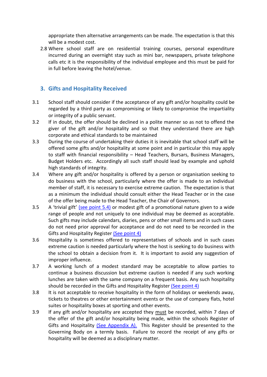appropriate then alternative arrangements can be made. The expectation is that this will be a modest cost.

2.8 Where school staff are on residential training courses, personal expenditure incurred during an overnight stay such as mini bar, newspapers, private telephone calls etc it is the responsibility of the individual employee and this must be paid for in full before leaving the hotel/venue.

#### **3. Gifts and Hospitality Received**

- 3.1 School staff should consider if the acceptance of any gift and/or hospitality could be regarded by a third party as compromising or likely to compromise the impartiality or integrity of a public servant.
- 3.2 If in doubt, the offer should be declined in a polite manner so as not to offend the giver of the gift and/or hospitality and so that they understand there are high corporate and ethical standards to be maintained
- 3.3 During the course of undertaking their duties it is inevitable that school staff will be offered some gifts and/or hospitality at some point and in particular this may apply to staff with financial responsibility – Head Teachers, Bursars, Business Managers, Budget Holders etc. Accordingly all such staff should lead by example and uphold high standards of integrity.
- 3.4 Where any gift and/or hospitality is offered by a person or organisation seeking to do business with the school, particularly where the offer is made to an individual member of staff, it is necessary to exercise extreme caution. The expectation is that as a minimum the individual should consult either the Head Teacher or in the case of the offer being made to the Head Teacher, the Chair of Governors.
- 3.5 A 'trivial gift' (see point 5.4) or modest gift of a promotional nature given to a wide range of people and not uniquely to one individual may be deemed as acceptable. Such gifts may include calendars, diaries, pens or other small items and in such cases do not need prior approval for acceptance and do not need to be recorded in the Gifts and Hospitality Register (See point 4)
- 3.6 Hospitality is sometimes offered to representatives of schools and in such cases extreme caution is needed particularly where the host is seeking to do business with the school to obtain a decision from it. It is important to avoid any suggestion of improper influence.
- 3.7 A working lunch of a modest standard may be acceptable to allow parties to continue a business discussion but extreme caution is needed if any such working lunches are taken with the same company on a frequent basis. Any such hospitality should be recorded in the Gifts and Hospitality Register (See point 4)
- 3.8 It is not acceptable to receive hospitality in the form of holidays or weekends away, tickets to theatres or other entertainment events or the use of company flats, hotel suites or hospitality boxes at sporting and other events.
- 3.9 If any gift and/or hospitality are accepted they must be recorded, within 7 days of the offer of the gift and/or hospitality being made, within the schools Register of Gifts and Hospitality (See Appendix A). This Register should be presented to the Governing Body on a termly basis. Failure to record the receipt of any gifts or hospitality will be deemed as a disciplinary matter.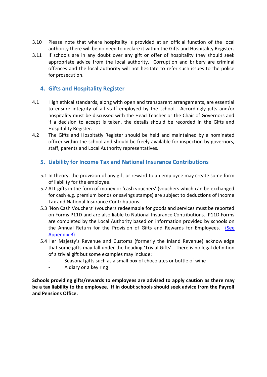- 3.10 Please note that where hospitality is provided at an official function of the local authority there will be no need to declare it within the Gifts and Hospitality Register.
- 3.11 If schools are in any doubt over any gift or offer of hospitality they should seek appropriate advice from the local authority. Corruption and bribery are criminal offences and the local authority will not hesitate to refer such issues to the police for prosecution.

#### **4. Gifts and Hospitality Register**

- 4.1 High ethical standards, along with open and transparent arrangements, are essential to ensure integrity of all staff employed by the school. Accordingly gifts and/or hospitality must be discussed with the Head Teacher or the Chair of Governors and if a decision to accept is taken, the details should be recorded in the Gifts and Hospitality Register.
- 4.2 The Gifts and Hospitatly Register should be held and maintained by a nominated officer within the school and should be freely available for inspection by governors, staff, parents and Local Authority representatives.

#### **5. Liability for Income Tax and National Insurance Contributions**

- 5.1 In theory, the provision of any gift or reward to an employee may create some form of liability for the employee.
- 5.2 ALL gifts in the form of money or 'cash vouchers' (vouchers which can be exchanged for cash e.g. premium bonds or savings stamps) are subject to deductions of Income Tax and National Insurance Contributions.
- 5.3 'Non Cash Vouchers' (vouchers redeemable for goods and services must be reported on Forms P11D and are also liable to National Insurance Contributions. P11D Forms are completed by the Local Authority based on information provided by schools on the Annual Return for the Provision of Gifts and Rewards for Employees. (See Appendix B)
- 5.4 Her Majesty's Revenue and Customs (formerly the Inland Revenue) acknowledge that some gifts may fall under the heading 'Trivial Gifts'. There is no legal definition of a trivial gift but some examples may include:
	- Seasonal gifts such as a small box of chocolates or bottle of wine
	- A diary or a key ring

**Schools providing gifts/rewards to employees are advised to apply caution as there may be a tax liability to the employee. If in doubt schools should seek advice from the Payroll and Pensions Office.**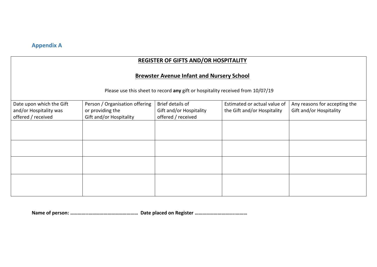## **Appendix A**

# **REGISTER OF GIFTS AND/OR HOSPITALITY**

#### **Brewster Avenue Infant and Nursery School**

Please use this sheet to record **any** gift or hospitality received from 10/07/19

| Date upon which the Gift | Person / Organisation offering | Brief details of        | Estimated or actual value of | Any reasons for accepting the |
|--------------------------|--------------------------------|-------------------------|------------------------------|-------------------------------|
| and/or Hospitality was   | or providing the               | Gift and/or Hospitality | the Gift and/or Hospitality  | Gift and/or Hospitality       |
| offered / received       | Gift and/or Hospitality        | offered / received      |                              |                               |
|                          |                                |                         |                              |                               |
|                          |                                |                         |                              |                               |
|                          |                                |                         |                              |                               |
|                          |                                |                         |                              |                               |
|                          |                                |                         |                              |                               |
|                          |                                |                         |                              |                               |
|                          |                                |                         |                              |                               |
|                          |                                |                         |                              |                               |
|                          |                                |                         |                              |                               |
|                          |                                |                         |                              |                               |
|                          |                                |                         |                              |                               |
|                          |                                |                         |                              |                               |

**Name of person: …………..………………………………… Date placed on Register …………………………..………**